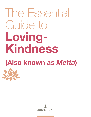# The Essential Guide to **Loving-Kindness**

## **(Also known as** *Metta***)**

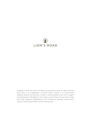## LION'S ROAR

Copyright © 2022 Lion's Roar Foundation, except where noted. All rights reserved. Lion's Roar is an independent non-profit whose mission is to communicate Buddhist wisdom and practices in order to benefit people's lives, and to support the development of Buddhism in the modern world. Projects of Lion's Roar include *Lion's Roar* magazine, *Buddhadharma: The Practitioner's Quarterly*, lionsroar.com, and Lion's Roar Special Editions and Online Learning.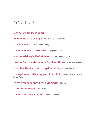## CONTENTS

**May All Beings Be at Ease!** 

**How to Practice Loving-Kindness JoAnna Hardy**

**Why I do Metta Janice Lynne Lundy**

**Loving-Kindness Starts With You Josh Korda** 

**Sharon Salzberg's Aha! Moment As told to Lindsay Kyte**

**How to Practice Metta for a Troubled Time Mushim Patricia Ikeda**

**Meet Bad Habits with Loving-Kindness Sylvia Boorstein**

**Loving-Kindness Healing Your Inner Child Peggy Rowe Ward and Larry Ward**

**How to Practice Metta With Children Gail Silver**

**Metta for Refugees Liên Shutt**

**Loving the Many Sides of You Susan Piver**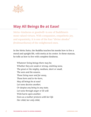

## **May All Beings Be at Ease!**

*Metta*—kindness or goodwill—is one of Buddhism's most valued virtues. With compassion, empathetic joy, and equanimity, it is one of the four "divine abodes" (*brahmaviharas*) of the enlightened ones.

In the *Metta Sutta*, the Buddha teaches his monks how to live a moral and upright life, with metta at its center. In these stanzas, he tells us how to live with complete kindness.

*Whatever living beings there may be; Whether they are weak or strong, omitting none, The great or the mighty, medium, short or small, The seen and the unseen, Those living near and far away, Those born and to-be-born, May all beings be at ease! Let none deceive another, Or despise any being in any state. Let none through anger or ill-will Wish harm upon another. Even as a mother protects with her life Her child, her only child,*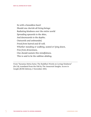*So with a boundless heart Should one cherish all living beings: Radiating kindness over the entire world Spreading upwards to the skies, And downwards to the depths; Outwards and unbounded, Freed from hatred and ill-will. Whether standing or walking, seated or lying down, Free from drowsiness, One should sustain this mindfulness. This is said to be the sublime abiding.*

From "Karaniya Metta Sutta: The Buddha's Words on Loving-Kindness" (Sn 1.8), translated from the Pali by The Amaravati Sangha. *Access to Insight (BCBS Edition)*, 2 November 2013,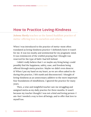### **How to Practice Loving-Kindness**

*JoAnna Hardy* teaches us the famed Buddhist practice of metta—offering love to ourselves and others.

When I was introduced to the practice of metta—most often translated as loving-kindness practice—I definitely knew it wasn't for me. It was too mushy and sentimental for my pragmatic mind. It was reminiscent of the wishful praying that I thought was reserved for the type of faith I had left behind.

I didn't really believe that I—or maybe any living being—could possibly find the happiness, safety, ease, and freedom being offered through metta practice. Maybe we didn't even deserve it! When I put my hand on my heart, as we are often asked to do during this practice, I felt numb and disconnected. I thought of loving-kindness as an unnecessary additive to the more important four foundations of mindfulness. I ignored the practice for many years.

Then, a wise and insightful teacher saw me struggling and assigned metta as my daily practice for three months. It wasn't because my teacher thought I was not a kind and loving person—I am—but I needed a way to love all beings, and to offer that love to myself too.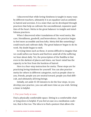I discovered that while loving-kindness is taught in many ways by different teachers, ultimately it is an equalizer and an antidote to hatred and aversion. It is a state that can be developed through practices that help us cultivate the unconditional, expansive qualities of the heart. Metta is the great balancer to insight and mindfulness practices.

When I discovered other translations of the word metta, like care, friendliness, goodwill, and benevolence, the practice began to feel more accessible and less lofty. Metta felt like something I could touch and cultivate daily. The great balancer began to do its work. My doubt began to melt.

In trying times such as these, it seems difficult to imagine that we could soften our hearts and find love amid all of the suffering we hear about daily. Yet, the prescription of the Buddha is that even in the darkest of places and times, our heart-mind has the capacity to be free from the burdens of hatred.

Here is a four-step instruction for metta. These steps are for practicing loving-kindness for yourself. You can also practice metta for others in different categories, such as people close to you, friends, people you are neutral toward, people you find difficult, and ultimately all living beings.

Initially, set aside 15-20 minutes to do the four steps. As you develop your practice, you can add more time as you wish. Setting a timer is helpful.

#### **1. Put your body at ease.**

Find a physically comfortable space. Sitting in a comfortable chair or lying down is helpful. If you feel at ease on a meditation cushion, that is fine too. The idea is to find a posture that allows the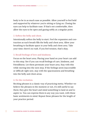body to be in as much ease as possible. Allow yourself to feel held and supported by whatever you're sitting or lying on. Closing the eyes can help to facilitate ease. If that's not comfortable, then allow the eyes to be open and gazing softly at a singular point.

#### **2. Soften the belly and chest.**

Intentionally soften the belly to start. Feel the expansion and contraction as each breath fills the belly and chest area. Allow your breathing to facilitate space in your belly and chest area. Take your time; there's no rush. If you feel tension, that's okay.

#### **3. Recall feelings of love and kindness.**

Focus on the heart area. Placing your hand on your heart can add to this step. See if you can recall feelings of care, kindness, and friendliness. Let them permeate your heart area. Stay with this while moving into the next step. If the feelings seem inaccessible or difficult right now, stay with the spaciousness and breathing into the belly and chest areas.

#### **4. Do the recitation.**

Reciting phrases is a classic way of practicing metta. Whether we believe the phrases in the moment or not, it's still useful to say them; they give the heart and mind something to land on and to aspire to. You can express them in any way you want, with these basic sentiments in mind. Repeat these phrases for the length of your practice period: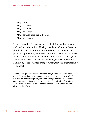*May I be safe May I be healthy May I be happy May I be at ease May I be filled with loving-kindness May I be peaceful*

In metta practice, it is normal for the doubting mind to pop up and challenge the notion of loving ourselves and others. Don't let this doubt stop you. It is important to know that metta is not a practice of perfection, but one of cultivation. This is our practice freeing our heart and mind from the clutches of fear, hatred, and confusion, regardless of what is happening in the world around us. I am happy to report, after trying it myself, that this skeptic is now convinced!

JoAnna Hardy practices in the Theravada Insight tradition, with a focus on teaching meditation in communities dedicated to seeing the truth of how racism, gender inequality, and oppression go hand in hand with the compassionate-action teachings in Buddhism. She is leader of the Lion's Roar Online Learning course, *How to Cultivate a Loving Heart: The Buddhist Practice of Metta*.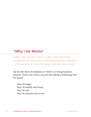## **"Why I Do Metta"**

Author and educator Janice Lynne Lundy shares her perspective on the practice of loving-kindness meditation —why she loves it, and why it goes with her everywhere.

My favorite form of meditation is "Metta," or loving-kindness practice. Here's why: When I say the four phrases of blessing, first, for myself …

*May I be happy. May I be healthy and strong. May I be safe. May I be peaceful and at ease.*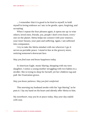... I remember that it is good to be kind to myself; to hold myself in loving embrace as I am; to be gentle, open, forgiving, and accepting.

When I repeat the four phrases again, it opens me up: to wise others, loved ones, friends, *you*, people I don't even know, everyone on the planet. Metta helps me connect with *your* essence, your inner beauty, your pain and suffering. Again, I am softened into compassion.

I try to take the Metta mindset with me wherever I go; it serves as portable peace. I stand in line at the grocery store, noticing someone's downcast face.

*May you find ease and know happiness today.*

In American Eagle, music blaring, shopping with my teen daughter, I notice a young mother struggling with two babies in a stroller. She is trying to shop for herself, yet her children tug and pull. Her frustration grows.

*May you know patience. May you feel comforted.*

This morning my husband awoke with his "ego blaring," as he puts it. I lay my hand on his heart and silently offer Metta to him.

*My sweetheart, may you be at peace today. May your day unfold with ease.*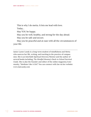This is why I do metta. It lets me lead with love.

Today…

May YOU be happy.

May you be well, healthy, and strong for the day ahead.

May you be safe and secure.

May you be peaceful and at ease with all the circumstances of your life.

Janice Lynne Lundy is a long-term student of mindfulness and Metta who sources her life, writing, and teaching in the practice of compassion. She is an Interfaith Spiritual Director/Mentor and the author of several books including, *The Mindful Mommy's Back-to-School Survival Guide*. She is also the founder and editor of the online magazine/community, "Meditate Like A Girl." You can connect with Jan via her website: www.JanLundy.com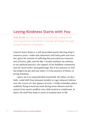## **Loving-Kindness Starts with You**

*Josh Korda* on how to free your naturally loving heart and expand your goodwill to include all beings through loving-kindness meditation.

I haven't had a drink or a self-prescribed mood-altering drug in nineteen years. I make that statement with both pride and wonder, given the amount of suffering that preceded my renunciation of booze, pills, and the like. I mostly attribute my sobriety to my spiritual practice, the support of my Buddhist community, and our local twelve-step gatherings. But if one practice or tool has helped me get and stay sober, it is the practice of Metta, or loving-kindness.

I grew up in an unpredictable household. My father, an alcoholic, could shift from pleasant joviality to rage-induced violence over the course of a few glasses of wine. I vividly remember plates suddenly flying toward my head during tense dinners and the sound of my mom's muffled cries while locked in a bathroom. In short, the stuff that leads to years of analysis later in life.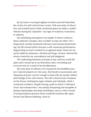By my teens I was hypervigilant of others and self-absorbed, the victim of a self-critical inner tyrant. I felt unworthy of others' love and worked hard to hide emotional states my father couldn't tolerate during his "episodes"—any sign of weakness, frustration, or sadness.

My underlying assumption was simple: if others could see these authentic energies, they wouldn't accept me either. Yet I desperately needed emotional tolerance and interpersonal bonding. My life around others became a self-conscious performance. Suppressing so much resulted in an agitated mind, which set me up for addictive behaviors. Alcohol and drugs, I found, relieved the stress created by my concealment and self-judgment.

The underlying darkness was kept at bay, until my world fell apart and I wound up in my final detox stint, everything and everyone lost as a result of my heedlessness.

My early days of sobriety were buoyed by the Buddhist practice I had developed over the years. But breath concentration and Vipassana practice weren't enough to deal with my deeply embedded feelings of low self-esteem. The self-critical tyrant remained on his throne, barking his angry rebukes and rebuttals, which I continued to believe, despite having a path in which I cultivated virtue and volunteerism. I was deeply despairing and incapable of lasting relationships and deep friendships. And so, when I heard of loving-kindness practice from wonderful teachers like Ajahn Sucitto and Sharon Salzberg, I dove in.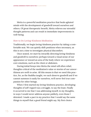Metta is a powerful meditation practice that heals agitated minds with the development of goodwill toward ourselves and others. Of great therapeutic benefit, Metta relieves our stressful thought patterns and can result in immediate improvements in well-being.

#### **How to Do Loving-Kindness Meditation**

Traditionally, we begin loving-kindness practice by taking a comfortable seat. We can quietly shift positions when necessary, as this is not a time to investigate physical discomfort.

Once seated, we start by inwardly directing loving-kindness and goodwill to ourselves: perhaps toward a visual sense of our appearance or toward an area of the body where we experience core emotions, such as the chest or abdomen.

During initial forays into Metta the mind will often rebel; thoughts critical of the meditation's value or stories of our unworthiness are swift to arise. All this means is that we need this practice, for, as the Buddha taught, we each deserve goodwill and if we cannot summon it easily for ourselves, we'll never feel true compassion for other beings.

When I first started my loving-kindness practice, developing thoughts of self-regard was a struggle, to say the least. Finally it occurred to me that I was addressing myself, in my thoughts, in ways I would never address anyone publicly, even those I detested. I made a pact in my practice that I would say the same things to myself that a good friend might say. My first choice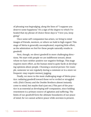of phrasing was begrudging, along the lines of "I suppose you deserve some happiness." It's a sign of the degree to which I've healed that my phrase of choice these days is "I love you, keep going."

Once some self-compassion has arisen, we bring to mind images of friends, mentors, or others we hold in high regard. This stage of Metta is generally uncomplicated, requiring little effort, as the admiration we feel for these people naturally results in goodwill.

Next, though, we direct goodwill in more challenging directions. We start with people we are indifferent toward, about whom we have neither positive nor negative feelings. This stage requires more effort, as the human mind is quite facile at developing opinions about people. Choosing a neutral person—for example, someone we see regularly during a commute or in a store we frequent—may require memory jogging.

Finally, we move to the most challenging stage of Metta practice: radiating goodwill toward those we've reviled or struggled with. (Dick Cheney and the Doobie Brothers almost instantly come to mind, but maybe that's just me.) This part of the practice is as essential as developing self-compassion, since holding resentment is a primary source of agitation and suffering. The limits of our goodwill form the ultimate boundaries of our peace of mind, for we cannot achieve peace while aversion is present.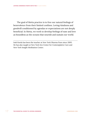The goal of Metta practice is to free our natural feelings of benevolence from their limited confines. Loving-kindness and goodwill conditioned by agendas or expectations are not deeply beneficial. In Metta, we work to develop feelings of ease and love as boundless as the oceans that nourish and sustain our world.

Josh Korda has been the teacher at New York Dharma Punx since 2005. He has also taught at New York Zen Center for Contemplative Care and New York Insight Meditation Center.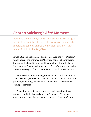## **Sharon Salzberg's** *Aha!* **Moment**

Recalling the early days of Barre, Massachusetts' Insight Meditation Society—of which she was a co-founder—the meditation teacher shares the moment that metta hit home. As told to *Lindsay Kyte*.

It was a time of excitement—and debate. Even the word "metta," which adorns the entrance at IMS, was a source of controversy. Some people thought they should use an English word, like loving-kindness. "In the end, it just stayed," says Salzberg, and today metta is a recognized term in the Western spiritual vocabulary.

There was no programming scheduled for the first month of IMS's existence, so Salzberg decided to immerse herself in metta practice, something she had only done before as a ceremonial ending to retreats.

"I did it for an entire week and just kept repeating these phrases, and I felt absolutely nothing," she says. "Then one day, I dropped this big glass jar and it shattered and stuff went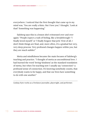everywhere. I noticed that the first thought that came up in my mind was, 'You are really a klutz. But I love you.' I thought, 'Look at that!' Something was happening."

Salzberg says this is a lesson she's witnessed over and over again: "People expect a rush of feeling, like a breakthrough—'I finally loved myself," or 'I finally forgave that jerk.' First of all, I don't think things are final, and, more often, it's a gradual but very, very deep process. Very profound changes happen within you, but they are much subtler."

Metta and mindfulness became the main focuses of Salzberg's teaching and practice. "I thought of metta as unconditional love. I had learned the word 'loving-kindness' as the standard translation of metta, but when I'm teaching now I usually say 'connection'—a profound sense of connection. It's knowing somebody counts, that everybody wants to be happy, and that our lives have something to do with one another."

Lindsay Kyte works as a freelance journalist, playwright, and performer.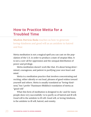## **How to Practice Metta for a Troubled Time**

*Mushim Patricia Ikeda* teaches us how to generate loving-kindness and good will as an antidote to hatred and fear.

Metta meditation is not a magical spell you can cast on the population of the U.S. in order to produce a state of utopian bliss. It is not a cure-all for oppression and the unequal distribution of power and privilege.

Metta meditation doesn't work like that. It's about being determined, courageous, and patient in purifying your own heart and mind.

Metta is a meditation practice that involves concentrating and reciting, either silently or out loud, phrases of good wishes toward yourself and others. *Metta* is usually translated as "loving-kindness," but I prefer Thanissaro Bhikkhu's translation of metta as "good will."

What this form of meditation is designed to do-and for many people does very successfully—is to purify us of hatred and ill will. Good will is the antidote to ill will. Good will, or loving-kindness, is the antidote to ill will, hatred, and enmity.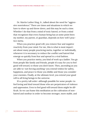Dr. Martin Luther King, Jr., talked about the need for "aggressive nonviolence." There are times and situations in which we have to show up and throw down, and this may be such a time. Whether I do that from a mind of toxic hatred, or from a mind that recognizes that every human being has at some point been my mother, my parent, or guardian, depends on how well I practice metta.

When you practice good will, you remove fear and negative reactivity from your mind. For me, this is what is most important about many people practicing metta, together or individually, whenever it is necessary to reduce the conflict and hatred that emerge so quickly from fear and spread in a viral fashion.

When you practice metta, you kind of work up a ladder. You go from people like family and friends, people it's easy for you to feel good will toward, to those you don't know. Then, ascending as you are able to—not forcing anything—you extend wishes for safety, happiness, and peace to those you dislike and those you consider your enemies. Finally, at the ultimate level, you extend your good will to all living beings in the universe.

It's a pretty tall order—although possible for some people—to feel loving and kind toward those who are perpetrators of violence and oppression. Even to feel good will toward them might be difficult. So we can frame this meditation as the cultivation of nonhatred and nonfear in order to become stronger, more stable, and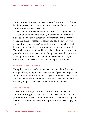more centered. Then we can move forward in a positive fashion to battle oppression and create some improvement for our communities and the United States overall.

Metta meditation can be done in a brief flash of good wishes or it can be practiced continuously over many days. First, find a place to sit or lie down quietly and comfortably. Make sure that you're in a place of reasonable safety. You can close your eyes or keep them open a little. You might take a few deep breaths to begin, calming and steadying yourself to the best of your ability. You might want to gently and lightly place a hand on your heart or your cheek or another part of your body in any way that promotes a feeling of inner safety and that helps to connect you to your courage and compassion. Then you can begin the practice.

#### **Good Will Toward Yourself**

Using these words or others—because you can adapt this however you like—you begin with these wishes of good will to yourself: "May I be safe and protected from physical and mental harm. May I be strong and healthy and enjoy well-being. May I be peaceful and truly happy. May I live my life with more joy and ease."

#### **Toward Friends**

Now extend those good wishes to those whom you like, your family, mentors, good friends, and others: "May you be safe and protected from physical and mental harm. May you be strong and healthy. May you be peaceful and happy. May you live with joy and ease."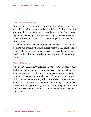#### **Toward Neutral Beings**

Now we extend our good will toward neutral beings—people and other living beings we neither like nor dislike. It's always useful to check in: do you actually have neutral beings in your life? I don't. My mind will quickly divide, even very slightly, between those I like and those I don't like. That is something worth noting if it's true for you.

Then you can recite something like: "Though you are a neutral being to me—meaning I do not engage with you that much—I know you are like me in that you have joys, sorrows, and pain in your life. Therefore, I wish you well. May you live your life with more joy and ease."

#### **Toward Enemies**

Thich Nhat Hanh said, "While it is easy to love the lovable, it may be the unlovable who need our love more." So the next stage is to express your good will, to the extent you can, toward someone who has caused you some slight injury. Then, to the extent possible, you can extend these good wishes toward people who have caused you more pain, and to institutions and organizations that have caused you, your family, or your community pain and suffering. Let this develop naturally; relax and invite yourself to experiment with it.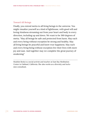#### **Toward All Beings**

Finally, you extend metta to all living beings in the universe. You might visualize yourself as a kind of lighthouse, with good will and loving-kindness streaming out from your heart and body in every direction, including up and down. We want to be 360 degrees of metta. "May all beings be safe and protected from harm. May each and every being without exception be strong and healthy. May all living beings be peaceful and know true happiness. May each and every living being without exception live their lives with more joy and ease. And together may we complete the great journey of awakening."

Mushim Ikeda is a social activist and teacher at East Bay Meditation Center in Oakland, California. She also works as a diversity and inclusion consultant.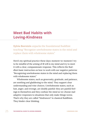## **Meet Bad Habits with Loving-Kindness**

*Sylvia Boorstein* unpacks the foundational Buddhist teaching "Recognize unwholesome states in the mind and replace them with wholesome states."

Here's my spiritual practice these days: moment-to-moment I try to be mindful of the arising of ill will in my mind and try to meet it with a clear, compassionate response. This reflects the Buddha's basic instruction on how to work with our negative patterns: "Recognizing unwholesome states in the mind and replacing them with wholesome states."

Wholesome states, such as generosity, gratitude, and patience, are soothing and gladdening to the mind. They support clear understanding and wise choices. Unwholesome states, such as lust, anger, and revenge, are doubly painful: they are painful feelings in themselves and they confuse the mind so we choose maladaptive responses to situations that only make things worse. That's why they are called "hindrances" in classical Buddhism. They hinder clear thinking.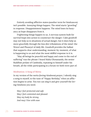Entirely avoiding afflictive states (another term for hindrances) isn't possible. Annoying things happen. The mind starts "growling" in response. Disappointment happens. The mind loses its buoyancy as hope disappears from it.

Frightening things happen to us. A nervous system built for survival leaps into action to counteract the danger. Calm goodwill may not help us in situations of actual danger, but it does help us move gracefully through the less dire tribulations of the mind—the Wows! and Phooeys! of daily life. Goodwill provides the ballast that supports clear understanding, moment-by-moment, of what is happening to us and what the most skillful response to it is.

"May all beings be peaceful and happy and come to the end of suffering" was the phrase I heard Maha Ghosananda, the senior Buddhist prelate of Cambodia, repeating to himself under his breath, all the while participating in a forum we both were part of.

#### **Meditation: A Song of Metta**

In my version of the *metta* (loving-kindness) prayer, I silently sing a song to myself, to the tune of "Happy Birthday," when an affliction begins to arise. You too can sing it and give yourself the loving-kindness you need.

*May I feel protected and safe May I feel contented and pleased May my body be strong And may I live with ease*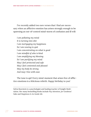I've recently added two new verses that I find are necessary when an afflictive emotion has arisen strongly enough to be spawning an out-of-control mind-storm of confusion and ill will:

*I am polluting my mind It is turning into shit I am mortgaging my happiness So I am vowing to quit I am concentrating on what is good I am mindful of who is kind I am amplifying my blessing So I am purifying my mind May I feel protected and safe May I feel contented and pleased May my body be strong And may I live with ease*

The tune is apt! Every mind-moment that arises free of afflictive emotions is a felicitous rebirth. Happy birthday to you!

Sylvia Boorstein is a psychologist and leading teacher of Insight Meditation. Her many bestselling books include *Pay Attention, for Goodness' Sake* and *Happiness Is An Inside Job*.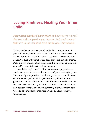## **Loving-Kindness: Healing Your Inner Child**

*Peggy Rowe Ward* and *Larry Ward* on how to give yourself the love and compassion you deserve. And send some of that love to the wounded child inside you. They need it.

Thich Nhat Hanh, our teacher, described love as an extremely powerful energy that has the capacity to transform ourselves and others. But many of us find it difficult to direct love toward ourselves. We quickly become aware of negative feelings like shame, guilt, and self-criticism that make it hard to love and care for ourselves. Unfortunately, this is all too common.

Luckily for us, the seeds of love, compassion, joy, and equanimity are in our store consciousness, ready and waiting to grow. We can study and practice in such a way that we shrink the seeds of self-aversion, self-criticism, shame, and guilt inside us and grow our hearts as wide as the world. When we are able to practice self-love consistently, returning over and over to maintain a soft heart in the face of our own suffering, eventually we're able to let go of our negative thought patterns and find ourselves transformed.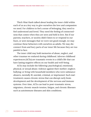Thich Nhat Hanh talked about healing the inner child within each of us as a key way to give ourselves the love and compassion we need. For children to feel a sense of belonging, they need to feel understood and loved. They need the feeling of connectedness that comes when they are seen and held in love. But if our parents, teachers, or society didn't listen to or respond to our fears, or sent messages that we were not good enough, we may continue these behaviors with ourselves as adults. We may disconnect from and bury parts of our inner life because they are too painful to face.

The inner child may hold memories of abuse, neglect, and other traumas we endured during childhood. Adverse childhood experiences (ACEs) are traumatic events in a child's life that can have lasting negative effects on our health and well-being.

ACEs may include the following: psychological, emotional, physical, or sexual abuse; violence against their mother; neglect; bullying; or living with household members who were substance abusers, mentally ill, suicidal, criminal, or imprisoned. Such maltreatment causes chronic stress that can disrupt early brain development and the development of the nervous and immune systems. Over time, ACEs can lead to post-traumatic stress, migraines, chronic muscle tension, fatigue, and chronic illnesses such as autoimmune diseases and skin conditions.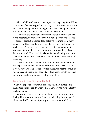These childhood traumas can impact our capacity for self-love as a result of stress trapped in the body. This is one of the reasons that the following meditation begins by strengthening our heart and mind with the somatic sensations of love and peace.

However, it is important to remember that the inner child is not a separate, unchangeable self. It is not a permanent essence or state of being, but rather deep patterns resulting from many causes, conditions, and perceptions that are both individual and collective. While these patterns may arise in any moment, it is our good fortune that there is a natural neuroplasticity of our brain and mind. This plasticity allows for deep healing and transformation illuminating the divine child hidden in the suffering of adversity.

Healing that inner child within us is the first and most important expression of love and kindness toward ourselves. Here are several ways we can practice love for ourselves, heal the wounds within us, and expand our capacity to love other people, because to fully love others we must first love ourselves.

#### **Send Love to Your Five-Year-Old Self**

When we experience our own suffering, the first invitation is to name this experience. In Thich Nhat Hanh's words, "We call it by its true name."

Whatever arises, you can name it and send it the energy of loving-kindness. You can say, "I am experiencing the energy of shame and self-criticism. I put my arms of love around these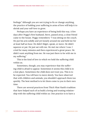feelings." Although you are not trying to fix or change anything, the practice of holding your suffering in arms of love will help it to shrink and your self-love to grow.

Perhaps you have an experience of being held this way. A few days after Peggy's first husband, Steve, passed away, a close friend came to the house. Peggy remembers: "I was sitting on the couch. He put his arm solidly and yet loosely around me and held me for at least half an hour. He didn't fidget, speak, or move. He didn't squeeze or pat. He just sat with me. He met me where I was. I cried for many minutes and then experienced a great peace. He didn't want anything from me. He was just there to be with me in my suffering."

This is the kind of love in which we hold the suffering child within us.

Sometimes, though, you may experience that the suffering child is afraid to appear. Sometimes it seems this child is in a lost place. Sometimes the child does not trust you. This is to be expected. You will have to move slowly. You have observed that with children and animals, you shouldn't approach them too quickly. The best method is to let them come to you in their own time.

There are several practices from Thich Nhat Hanh's tradition that have helped each of us build a loving and trusting relationship with the suffering child within us. One practice is to have a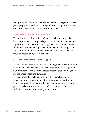family altar. On this altar, Thich Nhat Hanh encouraged us to have photographs of ourselves as young children. This practice helps us build a relationship that honors our inner child.

#### **A Meditation to Heal Your Inner Child**

The following meditation has helped us heal from early childhood experiences. We regularly practice this meditation because it provides a kind space for the body, heart, and mind to gently remember. It offers a living space of inclusivity and compassion for childhood memories and all previous experience as we continue to deepen and grow in self-love.

#### **1. Tap Your Resources of Love and Support**

Thich Nhat Hanh once spoke about cooking up love. He reminded us of how we can use pieces of straw or paper to start a good fire. Our resources for love are the pieces of straw that help us generate the energy of loving-kindness.

Resources that help us develop self-love include people, places, pets, activities, and beautiful memories that soften our hearts and nourish our gratitude, love, and compassion. In your practice, take a few minutes to recall such a resource deeply. Make it come alive by activating your senses.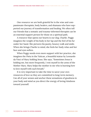One resource we are both grateful for is the wise and compassionate therapists, body healers, and shamans who have supported our journey of transformation and healing. We often tell our friends that a somatic and trauma-informed therapist can be an essential support person for those on a spiritual path.

A resource that opens our hearts is our dog, Charlie. Peggy imagines the weight of his body in her lap and the feel of his fur under her hand. She pictures his jaunty, bouncy walk and smile. When she brings Charlie to mind, she feels her body relax and her face and eyes soften.

When Peggy needs even more support with her practice, she imagines the Pieta in the Vatican, a beautiful statue by Leonardo da Vinci of Mary holding Jesus. She says, "Sometimes Jesus is holding me, but more frequently, I rest myself in the arms of the Mother Mary. Mary helps the mother in me who is learning how to love myself with each breath."

It is very important to take the time to savor your own resources of love so they are committed to long-term memory. Use all of your senses and anchor these sensations of goodness in your body and mind as you direct the energy of loving-kindness toward yourself.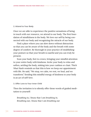#### **2. Attend to Your Body**

Once we are able to experience the positive sensations of being in touch with our resource, we attend to our body. The first foundation of mindfulness is the body. We love our self by being connected with our body and recognizing the miracle of our body.

Find a place where you can slow down without distraction so that you can be aware of the body and the breath with some degree of comfort. Be thorough in your practice of establishing your posture so that your breath is easeful and you can truly be present.

Scan your body, feet to crown, bringing your mindful attention to your entire body with kindness. Invite your body to relax and soften, settling the body, sinking into your cushion or chair. Thich Nhat Hanh reminds us that this is how we keep our appointment with life. He said, "We stop, we calm, we rest, we heal, and we transform." Sending this mindful energy of kindness to your body is an act of self-love.

#### **3. Offer Love to Your Inner Child**

Then the invitation is to silently offer these words of guided meditation to yourself:

*Breathing in, I know that I am breathing in. Breathing out, I know that I am breathing out*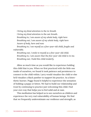*I bring my kind attention to the in-breath I bring my kind attention to the out-breath. Breathing in, I am aware of my whole body, right here Breathing out, I am aware of my whole body, right here Aware of body, here and now*

*Breathing in, I see myself as a five-year-old child, fragile and vulnerable.*

*Breathing out, I smile to myself as a five-year-old child. Breathing in, I am aware that the five-year-old child is in me. Breathing out, I hold this child tenderly.*

Allow as much time as you would like to experience holding this child that is you. When we first practiced with the little one inside of ourselves, we found it took patience and persistence to connect to the child within. Larry would visualize the child or else he'd visualize a black panther to support his practice. As a kinesthetic learner, Peggy found it helpful to experience the sensation of holding a puppy or kitten. We had to build our relationship and trust by continuing to practice just welcoming this child. Find your own way that helps you to feel solid and at ease.

This meditation has helped us to see ourselves as children and experience the very real vulnerability of human beings. We find that we frequently underestimate our resilience and strength, as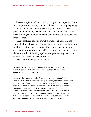well as our fragility and vulnerability. They are not separate. There is great power and strength in our vulnerability and fragility. Being in touch with vulnerability, while it may not be easy at first, is a powerful opportunity to be in touch with life and our own goodness. In doing so, the hidden divine child within can be healed and strengthened.

Larry captures benefits from his practice of honoring the inner child with these lines from a poem he wrote: "I am here now, waking up in the changing room of my soul's department store. I am becoming what my young self once knew, gazing at stars from the attic window following a yellow and green caterpillar on the sidewalks of Cleveland to new worlds."

Blessings on your practice of love.

Dr. Peggy Rowe Ward is an ordained dharma teacher who, with Larry Ward, directs the Lotus Institute and co-authored *Love's Garden: A Guide to Mindful Relationships*.

Larry Ward (pronouns- he/him) is a senior teacher in Buddhist Zen Master Thich Nhat Hanh's Plum Village tradition, the author of the book *America's Racial Karma*, and co-author with his wife, Peggy, of *Love's Garden, A Guide To Mindful Relationships*. Dr. Ward brings twenty-five years of international experience in organizational change and local community renewal to his work as director of the Lotus Institute and as an advisor to the Executive Mind Leadership Institute at the Drucker School of Management. He holds a PhD in Religious Studies with an emphasis on Buddhism and the neuroscience of meditation.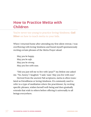## **How to Practice Metta with Children**

You're never too young to practice loving-kindness. *Gail Silver* on how to teach metta to your kids.

When I returned home after attending my first silent retreat, I was overflowing with loving-kindness and found myself spontaneously reciting certain phrases of the Metta Prayer aloud:

*May you be happy. May you be safe. May you be strong. May you live with ease.*

"Did you just tell me to live with 'peas'?" my littlest one asked me. "No, honey," I laughed. "I said, 'ease.' May you live with *ease*."

Derived from the ancient Pali scriptures, metta is often translated as friendliness or loving-kindness. It's commonly used to refer to a type of meditation where the practitioner, by reciting specific phrases, wishes herself well-being and then gradually extends that wish to others before offering it universally to all beings everywhere.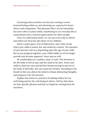Practicing metta enriches our lives by creating a warmhearted feeling within us, and elevating our capacity for benevolence and compassion. This pleasant effect can be immediate, but more often it arises subtly, manifesting in our everyday life as contentment and a renewed appreciation for other people.

Once we understand metta, we can use it not only to inform and soften our lives but also those of our children.

Select a quiet space, free of distraction, and a time of day when your child is rested, fed, and relatively content. The duration of your practice will vary depending upon the age of your child, but as you progress together, your child's ability to sit for longer periods may become apparent. Yours may as well.

Sit comfortably on a cushion, chair, or sofa. The intention is for the body to feel at ease and the mind to be alert. Invite your child to close her eyes and feel her breath moving in and out of her body. If she'd like, she can count her breaths. Attending to the breath in this way allows the mind to release distracting thoughts and prepares it for the practice.

Explain that metta is a practice of making wishes for our well-being and for the well-being of others. Tell her that there are four specific phrases and that we begin by reciting them for ourselves.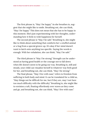The first phrase is, "May I be happy." As she breathes in, suggest that she might like to smile. Breathing out, she can think, "May I be happy." This does not mean that she has to be happy in this moment. She's just experimenting with her thoughts, understanding how it feels to wish happiness for herself.

The second phrase is "May I be safe." Breathing in, she might like to think about something that comforts her: a stuffed animal or a hug from a special grown-up. It's okay if her mind doesn't want to latch onto anything too specific. Saying the words is enough. With her exhalation, she can think, "May I be safe."

The third phrase is "May I be strong." Strength can be understood as having good health or the courage not to fall down when life doesn't seem to be going our way. Breathing in, still and steady, your child can visualize herself in whatever way feels good for her, and breathing out, she can think, "May I be strong."

The final phrase, "May I live with ease," refers to freedom from suffering in both body and mind. It can be translated for a child as, "May things not be difficult for me, but if they are, may I not have too much difficulty with the difficulty." Breathing in, she might like to envision a raft, floating effortlessly over waves as they come and go, and breathing out, she can think, "May I live with ease."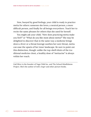Now, buoyed by good feelings, your child is ready to practice metta for others: someone she loves, a neutral person, a more difficult person, and finally for all beings everywhere. Teach her to recite the same phrases for others that she used for herself.

You might ask your child, "How does practicing metta make you feel?" or "What do you like most about metta?" She may be delighted to discover that in the same way a medicine brings down a fever or a throat lozenge soothes her sore throat, metta can ease the upsets of her inner landscape. Be sure to point out this distinction, though: unlike the top-shelf elixirs of the traditional medicine chest, a healthy dose of "mettacine" is always within her reach.

Gail Silver is the founder of Yoga Child Inc. and The School Mindfulness Project. She's the author of *Anh's Anger* and other picture books.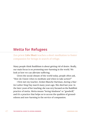### **Metta for Refugees**

Zen priest *Liên Shutt* teaches a short meditation to foster compassion for beings in search of refuge.

Many people think Buddhism is about getting rid of desire. Really, our main focus is on promoting non-harming in the world. We look at how we can alleviate suffering.

Given the social climate of the world today, people often ask, "How do I know when to meditate and when to take action?"

I first met my teacher, Zenkei Blanche Hartman, during a Martin Luther King Day march many years ago. She died last year. In the later years of her teaching, she was very focused on the Buddhist practice of metta. Metta means "loving-kindness" or "goodwill," and it's a practice that helps us to access the qualities of groundedness and non-harming in the service of compassion.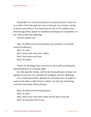Classically, we recite four phrases in metta practice. However, as a child, I lived through the war in Vietnam. As a result, a sense of home and safety is very important to me, so I've added a line referencing safety, based on tradition teachings on compassion, or the wish to alleviate suffering.

The five phases are:

*May I be filled with loving-kindness [or goodwill, or unconditional friendliness].*

*May I be well. May I have inner and outer safety. May I have peace and ease. May I be happy.*

These are all things that everyone in the world is looking for, and should have as a human right.

For this specific theme, we'll recite these phrases in three categories of practice: for yourself, for refugees, and for all beings.

If we understand these phrases for ourselves first, it makes it easier to be able to offer them to others. So start by visualizing yourself, and repeat these phrases:

*May I be filled with loving-kindness. May I be well. May I have inner and outer safety all the days of my life. May I be peaceful and at ease.*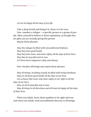*Let me be happy all the days of my life.*

Take a deep breath and bring it in. Know it to be true. Now, visualize a refugee — a specific person or a group of people. Allow yourself to believe in these aspirations, as though they are gifts you are actually giving this person.

Repeat these phrases:

*May this refugee be filled with unconditional kindness. May they have good health. May they have inner and outer safety all the days of their lives. May they be peaceful and at ease. Let them know happiness today and always.*

Now visualize all beings and repeat these phrases:

*May all beings, including myself, be filled with loving-kindness. May we all know good health all the days of our lives.*

*Let us know that inner and outer safety is our right in all the days of our lives.*

*May we all be peaceful and at ease.*

*May all being in all directions and all times be happy all the days of their lives.*

When you inhale, know these qualities to be right and true. And when you exhale, send unconditional sincerity to all beings.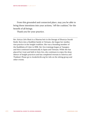From this grounded and connected place, may you be able to bring these intentions into your actions, "off the cushion," for the benefit of all beings.

Thank you for your practice.

Rev. Keiryu Liên Shutt is a Dharma heir in the lineage of Shunryu Suzuki Roshi. Born into a Buddhist family in Vietnam, she began her meditation practice in the Insight tradition. She was a founding member of the Buddhists of Color in 1998. Her Zen trainings began at Tassajara and then continued monastically in Japan and Vietnam. While she has placed her trust and faith in Soto Zen, she continues to enjoy the deep silence of Insight practices and has completed retreats in America and Thailand. Please go to AwakeInLife.org for info on the sitting group and other events.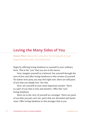## **Loving the Many Sides of You**

*Susan Piver* shares her practice for loving all of your imperfections and contradictions.

Begin by offering loving-kindness to yourself in your ordinary form. This is the "you" that you see in the mirror.

Next, imagine yourself as a beloved. See yourself through the eyes of love and offer loving-kindness to this version of yourself. No matter how puny you may feel right now, there are still parts of you that you simply love. See this.

Next, see yourself as your most important teacher. There is a part of you that is wise and intuitive. Offer this "you" loving-kindness.

Move on to the view of yourself as a stranger. There are parts of you that you just can't see, parts that are shrouded and mysterious. Offer loving-kindness to this stranger that is you.